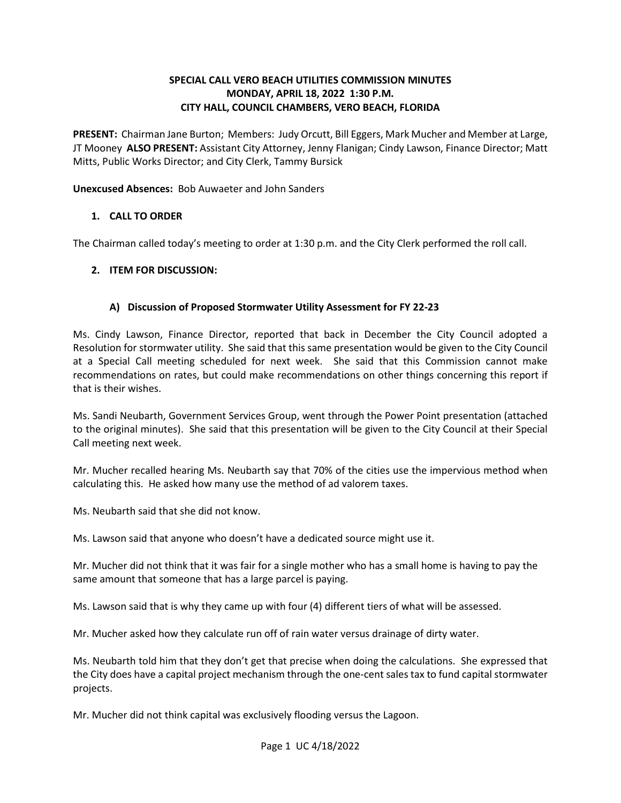## **SPECIAL CALL VERO BEACH UTILITIES COMMISSION MINUTES MONDAY, APRIL 18, 2022 1:30 P.M. CITY HALL, COUNCIL CHAMBERS, VERO BEACH, FLORIDA**

 **PRESENT:** Chairman Jane Burton; Members: Judy Orcutt, Bill Eggers, Mark Mucher and Member at Large, JT Mooney **ALSO PRESENT:** Assistant City Attorney, Jenny Flanigan; Cindy Lawson, Finance Director; Matt Mitts, Public Works Director; and City Clerk, Tammy Bursick

**Unexcused Absences:** Bob Auwaeter and John Sanders

## **1. CALL TO ORDER**

The Chairman called today's meeting to order at 1:30 p.m. and the City Clerk performed the roll call.

# **2. ITEM FOR DISCUSSION:**

# **A) Discussion of Proposed Stormwater Utility Assessment for FY 22-23**

 Resolution for stormwater utility. She said that this same presentation would be given to the City Council at a Special Call meeting scheduled for next week. She said that this Commission cannot make recommendations on rates, but could make recommendations on other things concerning this report if that is their wishes. Ms. Cindy Lawson, Finance Director, reported that back in December the City Council adopted a

Ms. Sandi Neubarth, Government Services Group, went through the Power Point presentation (attached to the original minutes). She said that this presentation will be given to the City Council at their Special Call meeting next week.

 Mr. Mucher recalled hearing Ms. Neubarth say that 70% of the cities use the impervious method when calculating this. He asked how many use the method of ad valorem taxes.

Ms. Neubarth said that she did not know.

Ms. Lawson said that anyone who doesn't have a dedicated source might use it.

 same amount that someone that has a large parcel is paying. Mr. Mucher did not think that it was fair for a single mother who has a small home is having to pay the

Ms. Lawson said that is why they came up with four (4) different tiers of what will be assessed.

Mr. Mucher asked how they calculate run off of rain water versus drainage of dirty water.

 the City does have a capital project mechanism through the one-cent sales tax to fund capital stormwater projects. Ms. Neubarth told him that they don't get that precise when doing the calculations. She expressed that

projects.<br>Mr. Mucher did not think capital was exclusively flooding versus the Lagoon.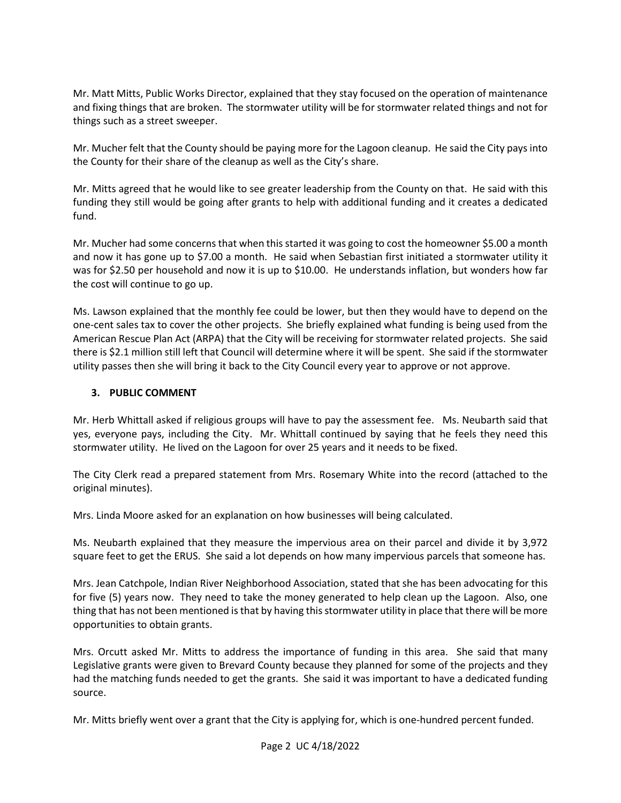Mr. Matt Mitts, Public Works Director, explained that they stay focused on the operation of maintenance and fixing things that are broken. The stormwater utility will be for stormwater related things and not for things such as a street sweeper.

 the County for their share of the cleanup as well as the City's share. Mr. Mucher felt that the County should be paying more for the Lagoon cleanup. He said the City pays into

 Mr. Mitts agreed that he would like to see greater leadership from the County on that. He said with this funding they still would be going after grants to help with additional funding and it creates a dedicated fund.

 Mr. Mucher had some concerns that when this started it was going to cost the homeowner \$5.00 a month and now it has gone up to \$7.00 a month. He said when Sebastian first initiated a stormwater utility it was for \$2.50 per household and now it is up to \$10.00. He understands inflation, but wonders how far the cost will continue to go up.

 Ms. Lawson explained that the monthly fee could be lower, but then they would have to depend on the American Rescue Plan Act (ARPA) that the City will be receiving for stormwater related projects. She said there is \$2.1 million still left that Council will determine where it will be spent. She said if the stormwater one-cent sales tax to cover the other projects. She briefly explained what funding is being used from the utility passes then she will bring it back to the City Council every year to approve or not approve.

### **3. PUBLIC COMMENT**

 Mr. Herb Whittall asked if religious groups will have to pay the assessment fee. Ms. Neubarth said that yes, everyone pays, including the City. Mr. Whittall continued by saying that he feels they need this stormwater utility. He lived on the Lagoon for over 25 years and it needs to be fixed.

original minutes). The City Clerk read a prepared statement from Mrs. Rosemary White into the record (attached to the

original minutes).<br>Mrs. Linda Moore asked for an explanation on how businesses will being calculated.

 Ms. Neubarth explained that they measure the impervious area on their parcel and divide it by 3,972 square feet to get the ERUS. She said a lot depends on how many impervious parcels that someone has.

 Mrs. Jean Catchpole, Indian River Neighborhood Association, stated that she has been advocating for this for five (5) years now. They need to take the money generated to help clean up the Lagoon. Also, one thing that has not been mentioned is that by having this stormwater utility in place that there will be more opportunities to obtain grants.

opportunities to obtain grants.<br>Mrs. Orcutt asked Mr. Mitts to address the importance of funding in this area. She said that many Legislative grants were given to Brevard County because they planned for some of the projects and they had the matching funds needed to get the grants. She said it was important to have a dedicated funding source.

Mr. Mitts briefly went over a grant that the City is applying for, which is one-hundred percent funded.<br>Page 2 UC 4/18/2022